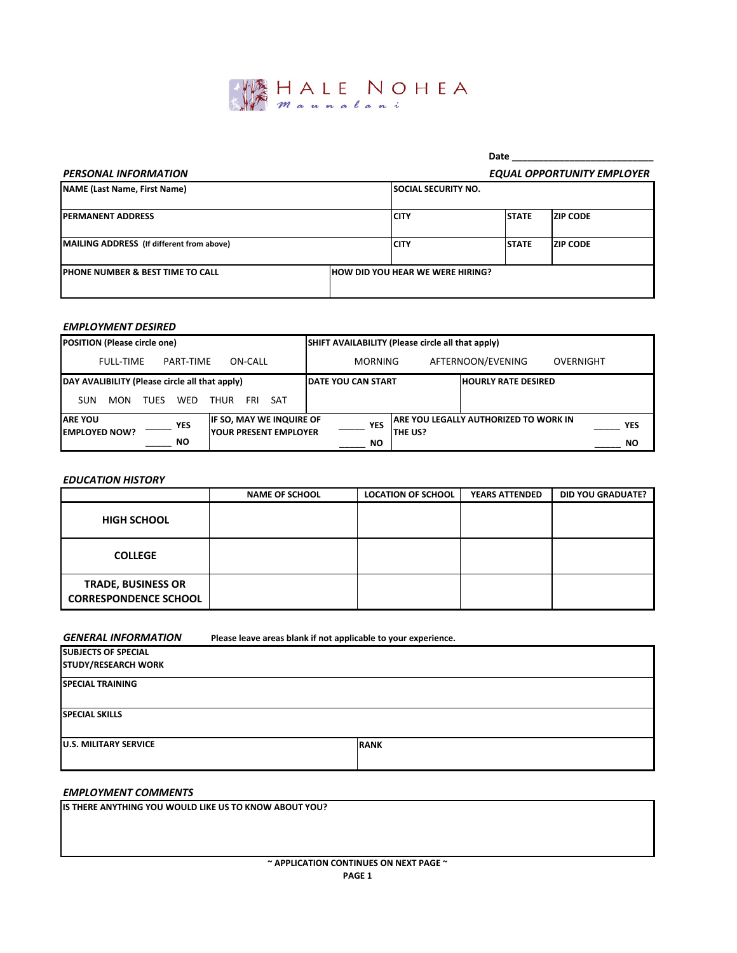

# PERSONAL INFORMATION

## Date \_\_\_\_\_\_\_\_\_\_\_\_\_\_\_\_\_\_\_\_\_\_\_\_\_\_\_ EQUAL OPPORTUNITY EMPLOYER

| , LNJONAL III, ONIHA HOII                    |  |                                         |              | LQUAL UI I UNIUNII LIIII LUILIN |
|----------------------------------------------|--|-----------------------------------------|--------------|---------------------------------|
| <b>NAME (Last Name, First Name)</b>          |  | <b>SOCIAL SECURITY NO.</b>              |              |                                 |
| <b>PERMANENT ADDRESS</b>                     |  | <b>ICITY</b>                            | <b>STATE</b> | <b>ZIP CODE</b>                 |
| MAILING ADDRESS (If different from above)    |  | <b>ICITY</b>                            | <b>STATE</b> | <b>ZIP CODE</b>                 |
| <b>IPHONE NUMBER &amp; BEST TIME TO CALL</b> |  | <b>HOW DID YOU HEAR WE WERE HIRING?</b> |              |                                 |

#### EMPLOYMENT DESIRED

| <b>POSITION (Please circle one)</b>                  |                                                                  | SHIFT AVAILABILITY (Please circle all that apply) |                |                                        |            |
|------------------------------------------------------|------------------------------------------------------------------|---------------------------------------------------|----------------|----------------------------------------|------------|
| <b>FULL-TIME</b><br>PART-TIME                        | ON-CALL                                                          | <b>MORNING</b>                                    |                | AFTERNOON/EVENING                      | OVERNIGHT  |
| DAY AVALIBILITY (Please circle all that apply)       |                                                                  | <b>IDATE YOU CAN START</b>                        |                | <b>HOURLY RATE DESIRED</b>             |            |
| WED<br>SUN<br>MON<br><b>THUR</b><br><b>TUES</b>      | FRI.<br>SAT                                                      |                                                   |                |                                        |            |
| <b>ARE YOU</b><br><b>YES</b><br><b>EMPLOYED NOW?</b> | <b>IF SO, MAY WE INQUIRE OF</b><br><b>IYOUR PRESENT EMPLOYER</b> | <b>YES</b>                                        | <b>THE US?</b> | IARE YOU LEGALLY AUTHORIZED TO WORK IN | <b>YES</b> |
| <b>NO</b>                                            |                                                                  | NO.                                               |                |                                        | <b>NO</b>  |

#### EDUCATION HISTORY

|                                                           | <b>NAME OF SCHOOL</b> | <b>LOCATION OF SCHOOL</b> | <b>YEARS ATTENDED</b> | <b>DID YOU GRADUATE?</b> |
|-----------------------------------------------------------|-----------------------|---------------------------|-----------------------|--------------------------|
| <b>HIGH SCHOOL</b>                                        |                       |                           |                       |                          |
| <b>COLLEGE</b>                                            |                       |                           |                       |                          |
| <b>TRADE, BUSINESS OR</b><br><b>CORRESPONDENCE SCHOOL</b> |                       |                           |                       |                          |

### GENERAL INFORMATION

Please leave areas blank if not applicable to your experience.

| <b>SUBJECTS OF SPECIAL</b>    |             |  |  |  |  |
|-------------------------------|-------------|--|--|--|--|
| <b>STUDY/RESEARCH WORK</b>    |             |  |  |  |  |
| <b>SPECIAL TRAINING</b>       |             |  |  |  |  |
|                               |             |  |  |  |  |
| <b>ISPECIAL SKILLS</b>        |             |  |  |  |  |
|                               |             |  |  |  |  |
| <b>JU.S. MILITARY SERVICE</b> | <b>RANK</b> |  |  |  |  |
|                               |             |  |  |  |  |

### EMPLOYMENT COMMENTS

IS THERE ANYTHING YOU WOULD LIKE US TO KNOW ABOUT YOU?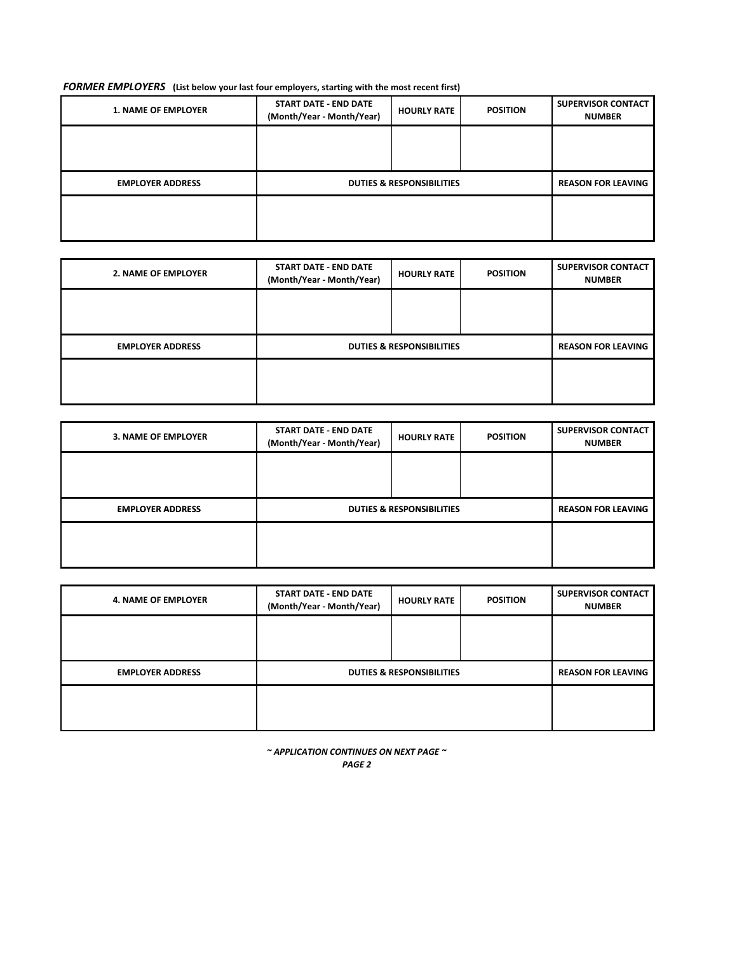### FORMER EMPLOYERS (List below your last four employers, starting with the most recent first)

| <b>1. NAME OF EMPLOYER</b> | <b>START DATE - END DATE</b><br>(Month/Year - Month/Year) | <b>HOURLY RATE</b> | <b>POSITION</b> | <b>SUPERVISOR CONTACT</b><br><b>NUMBER</b> |
|----------------------------|-----------------------------------------------------------|--------------------|-----------------|--------------------------------------------|
|                            |                                                           |                    |                 |                                            |
|                            |                                                           |                    |                 |                                            |
| <b>EMPLOYER ADDRESS</b>    | <b>DUTIES &amp; RESPONSIBILITIES</b>                      |                    |                 | <b>REASON FOR LEAVING</b>                  |
|                            |                                                           |                    |                 |                                            |
|                            |                                                           |                    |                 |                                            |

| <b>2. NAME OF EMPLOYER</b> | <b>START DATE - END DATE</b><br>(Month/Year - Month/Year) | <b>HOURLY RATE</b> | <b>POSITION</b> | <b>SUPERVISOR CONTACT</b><br><b>NUMBER</b> |
|----------------------------|-----------------------------------------------------------|--------------------|-----------------|--------------------------------------------|
|                            |                                                           |                    |                 |                                            |
|                            |                                                           |                    |                 |                                            |
| <b>EMPLOYER ADDRESS</b>    | <b>DUTIES &amp; RESPONSIBILITIES</b>                      |                    |                 | <b>REASON FOR LEAVING</b>                  |
|                            |                                                           |                    |                 |                                            |
|                            |                                                           |                    |                 |                                            |

| <b>3. NAME OF EMPLOYER</b> | <b>START DATE - END DATE</b><br>(Month/Year - Month/Year) | <b>HOURLY RATE</b> | <b>POSITION</b> | <b>SUPERVISOR CONTACT</b><br><b>NUMBER</b> |
|----------------------------|-----------------------------------------------------------|--------------------|-----------------|--------------------------------------------|
|                            |                                                           |                    |                 |                                            |
|                            |                                                           |                    |                 |                                            |
| <b>EMPLOYER ADDRESS</b>    | <b>DUTIES &amp; RESPONSIBILITIES</b>                      |                    |                 | <b>REASON FOR LEAVING</b>                  |
|                            |                                                           |                    |                 |                                            |
|                            |                                                           |                    |                 |                                            |
|                            |                                                           |                    |                 |                                            |

| <b>4. NAME OF EMPLOYER</b> | <b>START DATE - END DATE</b><br>(Month/Year - Month/Year) | <b>HOURLY RATE</b> | <b>POSITION</b> | <b>SUPERVISOR CONTACT</b><br><b>NUMBER</b> |
|----------------------------|-----------------------------------------------------------|--------------------|-----------------|--------------------------------------------|
|                            |                                                           |                    |                 |                                            |
|                            |                                                           |                    |                 |                                            |
| <b>EMPLOYER ADDRESS</b>    | <b>DUTIES &amp; RESPONSIBILITIES</b>                      |                    |                 | <b>REASON FOR LEAVING</b>                  |
|                            |                                                           |                    |                 |                                            |
|                            |                                                           |                    |                 |                                            |

 $\sim$  APPLICATION CONTINUES ON NEXT PAGE  $\sim$ 

|--|--|